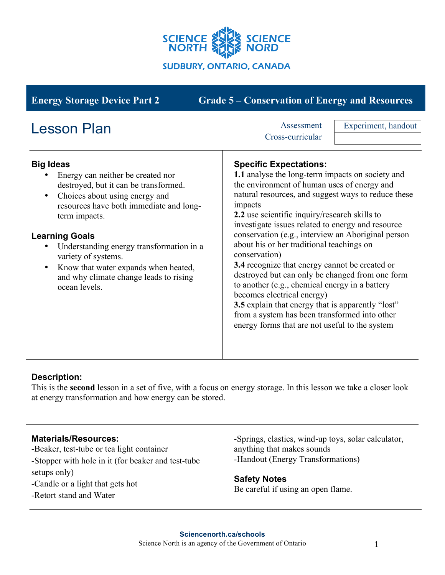

| <b>Energy Storage Device Part 2</b>                                                                                                                                                                                                                                                                                                                                                                                   | <b>Grade 5 – Conservation of Energy and Resources</b>                                                                                                                                                                                                                                                                                                                                                                                                                                                                                                                                                                                                                                                                                                                     |
|-----------------------------------------------------------------------------------------------------------------------------------------------------------------------------------------------------------------------------------------------------------------------------------------------------------------------------------------------------------------------------------------------------------------------|---------------------------------------------------------------------------------------------------------------------------------------------------------------------------------------------------------------------------------------------------------------------------------------------------------------------------------------------------------------------------------------------------------------------------------------------------------------------------------------------------------------------------------------------------------------------------------------------------------------------------------------------------------------------------------------------------------------------------------------------------------------------------|
| <b>Lesson Plan</b>                                                                                                                                                                                                                                                                                                                                                                                                    | Experiment, handout<br>Assessment<br>Cross-curricular                                                                                                                                                                                                                                                                                                                                                                                                                                                                                                                                                                                                                                                                                                                     |
| <b>Big Ideas</b><br>Energy can neither be created nor<br>destroyed, but it can be transformed.<br>Choices about using energy and<br>$\bullet$<br>resources have both immediate and long-<br>term impacts.<br><b>Learning Goals</b><br>Understanding energy transformation in a<br>variety of systems.<br>Know that water expands when heated,<br>$\bullet$<br>and why climate change leads to rising<br>ocean levels. | <b>Specific Expectations:</b><br>1.1 analyse the long-term impacts on society and<br>the environment of human uses of energy and<br>natural resources, and suggest ways to reduce these<br>impacts<br>2.2 use scientific inquiry/research skills to<br>investigate issues related to energy and resource<br>conservation (e.g., interview an Aboriginal person<br>about his or her traditional teachings on<br>conservation)<br>3.4 recognize that energy cannot be created or<br>destroyed but can only be changed from one form<br>to another (e.g., chemical energy in a battery<br>becomes electrical energy)<br>3.5 explain that energy that is apparently "lost"<br>from a system has been transformed into other<br>energy forms that are not useful to the system |

# **Description:**

This is the **second** lesson in a set of five, with a focus on energy storage. In this lesson we take a closer look at energy transformation and how energy can be stored.

#### **Materials/Resources:**

-Beaker, test-tube or tea light container -Stopper with hole in it (for beaker and test-tube setups only)

-Candle or a light that gets hot

-Retort stand and Water

-Springs, elastics, wind-up toys, solar calculator, anything that makes sounds -Handout (Energy Transformations)

**Safety Notes** Be careful if using an open flame.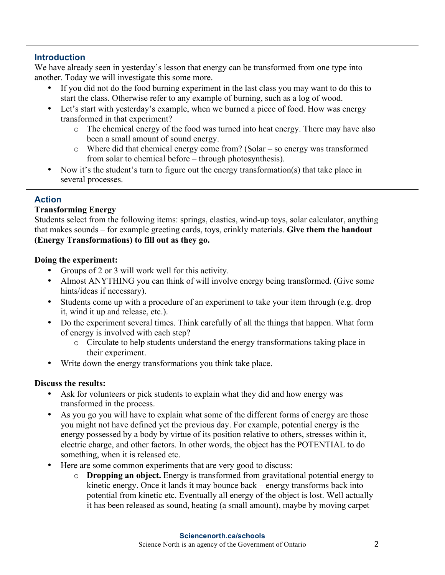### **Introduction**

We have already seen in yesterday's lesson that energy can be transformed from one type into another. Today we will investigate this some more.

- If you did not do the food burning experiment in the last class you may want to do this to start the class. Otherwise refer to any example of burning, such as a log of wood.
- Let's start with yesterday's example, when we burned a piece of food. How was energy transformed in that experiment?
	- o The chemical energy of the food was turned into heat energy. There may have also been a small amount of sound energy.
	- o Where did that chemical energy come from? (Solar so energy was transformed from solar to chemical before – through photosynthesis).
- Now it's the student's turn to figure out the energy transformation(s) that take place in several processes.

# **Action**

## **Transforming Energy**

Students select from the following items: springs, elastics, wind-up toys, solar calculator, anything that makes sounds – for example greeting cards, toys, crinkly materials. **Give them the handout (Energy Transformations) to fill out as they go.**

### **Doing the experiment:**

- Groups of 2 or 3 will work well for this activity.
- Almost ANYTHING you can think of will involve energy being transformed. (Give some hints/ideas if necessary).
- Students come up with a procedure of an experiment to take your item through (e.g. drop it, wind it up and release, etc.).
- Do the experiment several times. Think carefully of all the things that happen. What form of energy is involved with each step?
	- o Circulate to help students understand the energy transformations taking place in their experiment.
- Write down the energy transformations you think take place.

#### **Discuss the results:**

- Ask for volunteers or pick students to explain what they did and how energy was transformed in the process.
- As you go you will have to explain what some of the different forms of energy are those you might not have defined yet the previous day. For example, potential energy is the energy possessed by a body by virtue of its position relative to others, stresses within it, electric charge, and other factors. In other words, the object has the POTENTIAL to do something, when it is released etc.
- Here are some common experiments that are very good to discuss:
	- o **Dropping an object.** Energy is transformed from gravitational potential energy to kinetic energy. Once it lands it may bounce back – energy transforms back into potential from kinetic etc. Eventually all energy of the object is lost. Well actually it has been released as sound, heating (a small amount), maybe by moving carpet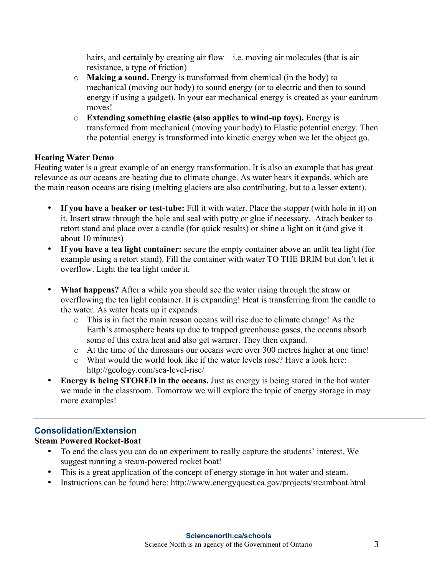hairs, and certainly by creating air flow – i.e. moving air molecules (that is air resistance, a type of friction)

- o **Making a sound.** Energy is transformed from chemical (in the body) to mechanical (moving our body) to sound energy (or to electric and then to sound energy if using a gadget). In your ear mechanical energy is created as your eardrum moves!
- o **Extending something elastic (also applies to wind-up toys).** Energy is transformed from mechanical (moving your body) to Elastic potential energy. Then the potential energy is transformed into kinetic energy when we let the object go.

#### **Heating Water Demo**

Heating water is a great example of an energy transformation. It is also an example that has great relevance as our oceans are heating due to climate change. As water heats it expands, which are the main reason oceans are rising (melting glaciers are also contributing, but to a lesser extent).

- **If you have a beaker or test-tube:** Fill it with water. Place the stopper (with hole in it) on it. Insert straw through the hole and seal with putty or glue if necessary. Attach beaker to retort stand and place over a candle (for quick results) or shine a light on it (and give it about 10 minutes)
- **If you have a tea light container:** secure the empty container above an unlit tea light (for example using a retort stand). Fill the container with water TO THE BRIM but don't let it overflow. Light the tea light under it.
- **What happens?** After a while you should see the water rising through the straw or overflowing the tea light container. It is expanding! Heat is transferring from the candle to the water. As water heats up it expands.
	- o This is in fact the main reason oceans will rise due to climate change! As the Earth's atmosphere heats up due to trapped greenhouse gases, the oceans absorb some of this extra heat and also get warmer. They then expand.
	- o At the time of the dinosaurs our oceans were over 300 metres higher at one time!
	- o What would the world look like if the water levels rose? Have a look here: http://geology.com/sea-level-rise/
- **Energy is being STORED in the oceans.** Just as energy is being stored in the hot water we made in the classroom. Tomorrow we will explore the topic of energy storage in may more examples!

# **Consolidation/Extension**

## **Steam Powered Rocket-Boat**

- To end the class you can do an experiment to really capture the students' interest. We suggest running a steam-powered rocket boat!
- This is a great application of the concept of energy storage in hot water and steam.
- Instructions can be found here: http://www.energyquest.ca.gov/projects/steamboat.html